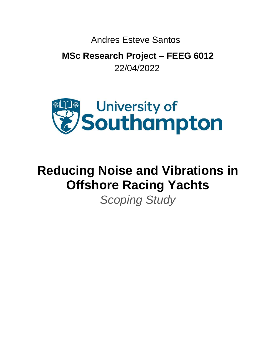Andres Esteve Santos

**MSc Research Project – FEEG 6012** 22/04/2022



# **Reducing Noise and Vibrations in Offshore Racing Yachts**

*Scoping Study*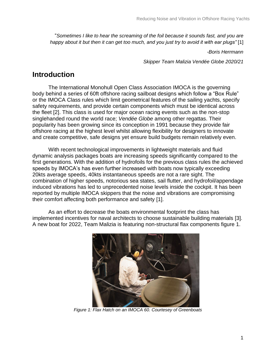"*Sometimes I like to hear the screaming of the foil because it sounds fast, and you are happy about it but then it can get too much, and you just try to avoid it with ear plugs"* [1]

*-Boris Herrmann* 

*Skipper Team Malizia Vendée Globe 2020/21*

### **Introduction**

The International Monohull Open Class Association IMOCA is the governing body behind a series of 60ft offshore racing sailboat designs which follow a "Box Rule" or the IMOCA Class rules which limit geometrical features of the sailing yachts, specify safety requirements, and provide certain components which must be identical across the fleet [2]. This class is used for major ocean racing events such as the non-stop singlehanded round the world race; *Vendée Globe* among other regattas. Their popularity has been growing since its conception in 1991 because they provide fair offshore racing at the highest level whilst allowing flexibility for designers to innovate and create competitive, safe designs yet ensure build budgets remain relatively even.

With recent technological improvements in lightweight materials and fluid dynamic analysis packages boats are increasing speeds significantly compared to the first generations. With the addition of hydrofoils for the previous class rules the achieved speeds by IMOCA's has even further increased with boats now typically exceeding 20kts average speeds, 40kts instantaneous speeds are not a rare sight. The combination of higher speeds, notorious sea states, sail flutter, and hydrofoil/appendage induced vibrations has led to unprecedented noise levels inside the cockpit. It has been reported by multiple IMOCA skippers that the noise and vibrations are compromising their comfort affecting both performance and safety [1].

As an effort to decrease the boats environmental footprint the class has implemented incentives for naval architects to choose sustainable building materials [3]. A new boat for 2022, Team Malizia is featuring non-structural flax components figure 1.



*Figure 1: Flax Hatch on an IMOCA 60. Courtesey of Greenboats*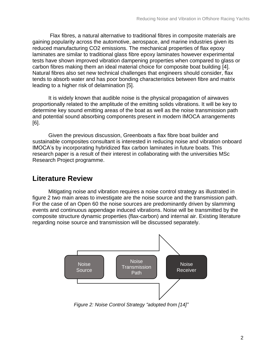Flax fibres, a natural alternative to traditional fibres in composite materials are gaining popularity across the automotive, aerospace, and marine industries given its reduced manufacturing CO2 emissions. The mechanical properties of flax epoxy laminates are similar to traditional glass fibre epoxy laminates however experimental tests have shown improved vibration dampening properties when compared to glass or carbon fibres making them an ideal material choice for composite boat building [4]. Natural fibres also set new technical challenges that engineers should consider, flax tends to absorb water and has poor bonding characteristics between fibre and matrix leading to a higher risk of delamination [5].

It is widely known that audible noise is the physical propagation of airwaves proportionally related to the amplitude of the emitting solids vibrations. It will be key to determine key sound emitting areas of the boat as well as the noise transmission path and potential sound absorbing components present in modern IMOCA arrangements [6].

Given the previous discussion, Greenboats a flax fibre boat builder and sustainable composites consultant is interested in reducing noise and vibration onboard IMOCA's by incorporating hybridized flax carbon laminates in future boats. This research paper is a result of their interest in collaborating with the universities MSc Research Project programme.

# **Literature Review**

Mitigating noise and vibration requires a noise control strategy as illustrated in figure 2 two main areas to investigate are the noise source and the transmission path. For the case of an Open 60 the noise sources are predominantly driven by slamming events and continuous appendage induced vibrations. Noise will be transmitted by the composite structure dynamic properties (flax-carbon) and internal air. Existing literature regarding noise source and transmission will be discussed separately.



*Figure 2: Noise Control Strategy "adopted from [14]"*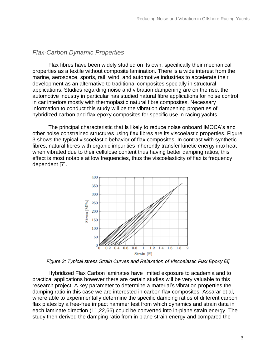#### *Flax-Carbon Dynamic Properties*

Flax fibres have been widely studied on its own, specifically their mechanical properties as a textile without composite lamination. There is a wide interest from the marine, aerospace, sports, rail, wind, and automotive industries to accelerate their development as an alternative to traditional composites specially in structural applications. Studies regarding noise and vibration dampening are on the rise, the automotive industry in particular has studied natural fibre applications for noise control in car interiors mostly with thermoplastic natural fibre composites. Necessary information to conduct this study will be the vibration dampening properties of hybridized carbon and flax epoxy composites for specific use in racing yachts.

The principal characteristic that is likely to reduce noise onboard IMOCA's and other noise constrained structures using flax fibres are its viscoelastic properties. Figure 3 shows the typical viscoelastic behavior of flax composites. In contrast with synthetic fibres, natural fibres with organic impurities inherently transfer kinetic energy into heat when vibrated due to their cellulose content thus having better damping ratios, this effect is most notable at low frequencies, thus the viscoelasticity of flax is frequency dependent [7].



*Figure 3: Typical stress Strain Curves and Relaxation of Viscoelastic Flax Epoxy [8]*

Hybridized Flax Carbon laminates have limited exposure to academia and to practical applications however there are certain studies will be very valuable to this research project. A key parameter to determine a material's vibration properties the damping ratio in this case we are interested in carbon flax composites. Assarar et al, where able to experimentally determine the specific damping ratios of different carbon flax plates by a free-free impact hammer test from which dynamics and strain data in each laminate direction (11,22,66) could be converted into in-plane strain energy. The study then derived the damping ratio from in plane strain energy and compared the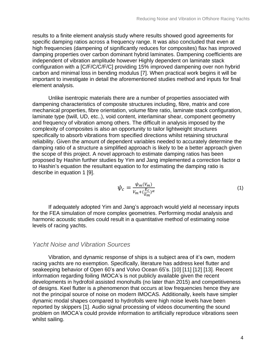results to a finite element analysis study where results showed good agreements for specific damping ratios across a frequency range. It was also concluded that even at high frequencies (dampening of significantly reduces for composites) flax has improved damping properties over carbon dominant hybrid laminates. Dampening coefficients are independent of vibration amplitude however Highly dependent on laminate stack configuration with a [C/F/C/C/F/C] providing 15% improved dampening over non hybrid carbon and minimal loss in bending modulus [7]. When practical work begins it will be important to investigate in detail the aforementioned studies method and inputs for final element analysis.

Unlike isentropic materials there are a number of properties associated with dampening characteristics of composite structures including, fibre, matrix and core mechanical properties, fibre orientation, volume fibre ratio, laminate stack configuration, laminate type (twill, UD, etc..), void content, interlaminar shear, component geometry and frequency of vibration among others. The difficult in analysis imposed by the complexity of composites is also an opportunity to tailor lightweight structures specifically to absorb vibrations from specified directions whilst retaining structural reliability. Given the amount of dependent variables needed to accurately determine the damping ratio of a structure a simplified approach is likely to be a better approach given the scope of this project. A novel approach to estimate damping ratios has been proposed by Hashin further studies by Yim and Jang implemented a correction factor α to Hashin's equation the resultant equation to for estimating the damping ratio is describe in equation 1 [9].

$$
\psi_c = \frac{\psi_m(V_m)}{V_m + (\frac{E_c}{E_m})^{\alpha}}\tag{1}
$$

If adequately adopted Yim and Jang's approach would yield al necessary inputs for the FEA simulation of more complex geometries. Performing modal analysis and harmonic acoustic studies could result in a quantitative method of estimating noise levels of racing yachts.

#### *Yacht Noise and Vibration Sources*

Vibration, and dynamic response of ships is a subject area of it's own, modern racing yachts are no exemption. Specifically, literature has address keel flutter and seakeeping behavior of Open 60's and Volvo Ocean 65's. [10] [11] [12] [13]. Recent information regarding foiling IMOCA's is not publicly available given the recent developments in hydrofoil assisted monohulls (no later than 2015) and competitiveness of designs. Keel flutter is a phenomenon that occurs at low frequencies hence they are not the principal source of noise on modern IMOCAS. Additionally, keels have simpler dynamic modal shapes compared to hydrofoils were high noise levels have been reported by skippers [1]. Audio signal processing of videos documenting the sound problem on IMOCA's could provide information to artificially reproduce vibrations seen whilst sailing.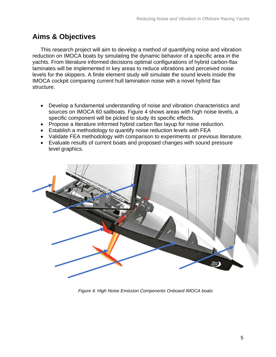# **Aims & Objectives**

This research project will aim to develop a method of quantifying noise and vibration reduction on IMOCA boats by simulating the dynamic behavior of a specific area in the yachts. From literature informed decisions optimal configurations of hybrid carbon-flax laminates will be implemented in key areas to reduce vibrations and perceived noise levels for the skippers. A finite element study will simulate the sound levels inside the IMOCA cockpit comparing current hull lamination noise with a novel hybrid flax structure.

- Develop a fundamental understanding of noise and vibration characteristics and sources on IMOCA 60 sailboats. Figure 4 shows areas with high noise levels, a specific component will be picked to study its specific effects.
- Propose a literature informed hybrid carbon flax layup for noise reduction.
- Establish a methodology to quantify noise reduction levels with FEA
- Validate FEA methodology with comparison to experiments or previous literature.
- Evaluate results of current boats and proposed changes with sound pressure level graphics.



*Figure 4: High Noise Emission Components Onboard IMOCA boats*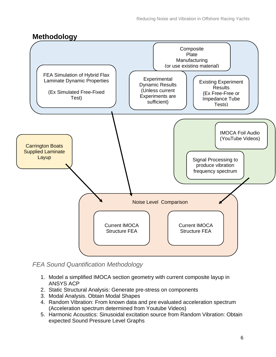# **Methodology**



*FEA Sound Quantification Methodology* 

- 1. Model a simplified IMOCA section geometry with current composite layup in ANSYS ACP
- 2. Static Structural Analysis: Generate pre-stress on components
- 3. Modal Analysis. Obtain Modal Shapes
- 4. Random Vibration: From known data and pre evaluated acceleration spectrum (Acceleration spectrum determined from Youtube Videos)
- 5. Harmonic Acoustics: Sinusoidal excitation source from Random Vibration: Obtain expected Sound Pressure Level Graphs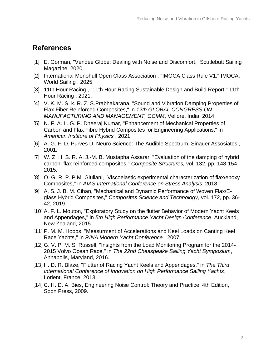# **References**

- [1] E. Gorman, "Vendee Globe: Dealing with Noise and Discomfort," Scutlebutt Sailing Magazine, 2020.
- [2] International Monohull Open Class Association , "IMOCA Class Rule V1," IMOCA, World Sailing , 2025.
- [3] 11th Hour Racing, "11th Hour Racing Sustainable Design and Build Report," 11th Hour Racing , 2021.
- [4] V. K. M. S. k. R. Z. S.Prabhakarana, "Sound and Vibration Damping Properties of Flax Fiber Reinforced Composites," in *12th GLOBAL CONGRESS ON MANUFACTURING AND MANAGEMENT, GCMM*, Vellore, India, 2014.
- [5] N. F. A. L. G. P. Dheeraj Kumar, "Enhancement of Mechanical Properties of Carbon and Flax Fibre Hybrid Composites for Engineering Applications," in *American Institure of Physics* , 2021.
- [6] A. G. F. D. Purves D, Neuro Science: The Audible Spectrum, Sinauer Assosiates , 2001.
- [7] W. Z. H. S. R. A. J.-M. B. Mustapha Assarar, "Evaluation of the damping of hybrid carbon–flax reinforced composites," *Composite Structures,* vol. 132, pp. 148-154, 2015.
- [8] O. G. R. P. P.M. Giuliani, "Viscoelastic experimental characterization of flax/epoxy Composites," in *AIAS International Conference on Stress Analysis*, 2018.
- [9] A. S. J. B. M. Cihan, "Mechanical and Dynamic Performance of Woven Flax/Eglass Hybrid Composites," *Composites Science and Technology,* vol. 172, pp. 36- 42, 2019.
- [10] A. F. L. Mouton, "Exploratory Study on the flutter Behavior of Modern Yacht Keels and Appendages," in *5th High Performance Yacht Design Conference*, Auckland, New Zealand, 2015.
- [11] P. M. M. Hobbs, "Measurment of Accelerations and Keel Loads on Canting Keel Race Yachts," in *RINA Modern Yacht Conference* , 2007.
- [12] G. V. P. M. S. Russell, "Insights from the Load Monitoring Program for the 2014- 2015 Volvo Ocean Race," in *The 22nd Cheaspeake Sailing Yacht Symposium*, Annapolis, Maryland, 2016.
- [13] H. D. R. Blaze, "Flutter of Racing Yacht Keels and Appendages," in *The Third International Conference of Innovation on High Performance Sailing Yachts*, Lorient, France, 2013.
- [14] C. H. D. A. Bies, Engineering Noise Control: Theory and Practice, 4th Edition, Spon Press, 2009.